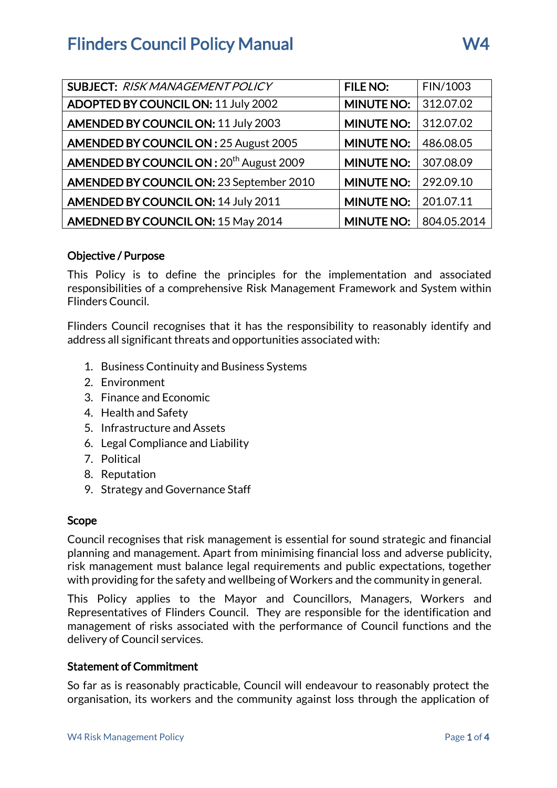| <b>SUBJECT: RISK MANAGEMENT POLICY</b>               | <b>FILE NO:</b>   | FIN/1003    |
|------------------------------------------------------|-------------------|-------------|
| <b>ADOPTED BY COUNCIL ON: 11 July 2002</b>           | <b>MINUTE NO:</b> | 312.07.02   |
| <b>AMENDED BY COUNCIL ON: 11 July 2003</b>           | <b>MINUTE NO:</b> | 312.07.02   |
| <b>AMENDED BY COUNCIL ON: 25 August 2005</b>         | <b>MINUTE NO:</b> | 486.08.05   |
| AMENDED BY COUNCIL ON : 20 <sup>th</sup> August 2009 | <b>MINUTE NO:</b> | 307.08.09   |
| AMENDED BY COUNCIL ON: 23 September 2010             | <b>MINUTE NO:</b> | 292.09.10   |
| <b>AMENDED BY COUNCIL ON: 14 July 2011</b>           | <b>MINUTE NO:</b> | 201.07.11   |
| AMEDNED BY COUNCIL ON: 15 May 2014                   | <b>MINUTE NO:</b> | 804.05.2014 |

## Objective / Purpose

This Policy is to define the principles for the implementation and associated responsibilities of a comprehensive Risk Management Framework and System within Flinders Council.

Flinders Council recognises that it has the responsibility to reasonably identify and address all significant threats and opportunities associated with:

- 1. Business Continuity and Business Systems
- 2. Environment
- 3. Finance and Economic
- 4. Health and Safety
- 5. Infrastructure and Assets
- 6. Legal Compliance and Liability
- 7. Political
- 8. Reputation
- 9. Strategy and Governance Staff

## Scope

Council recognises that risk management is essential for sound strategic and financial planning and management. Apart from minimising financial loss and adverse publicity, risk management must balance legal requirements and public expectations, together with providing for the safety and wellbeing of Workers and the community in general.

This Policy applies to the Mayor and Councillors, Managers, Workers and Representatives of Flinders Council. They are responsible for the identification and management of risks associated with the performance of Council functions and the delivery of Council services.

## Statement of Commitment

So far as is reasonably practicable, Council will endeavour to reasonably protect the organisation, its workers and the community against loss through the application of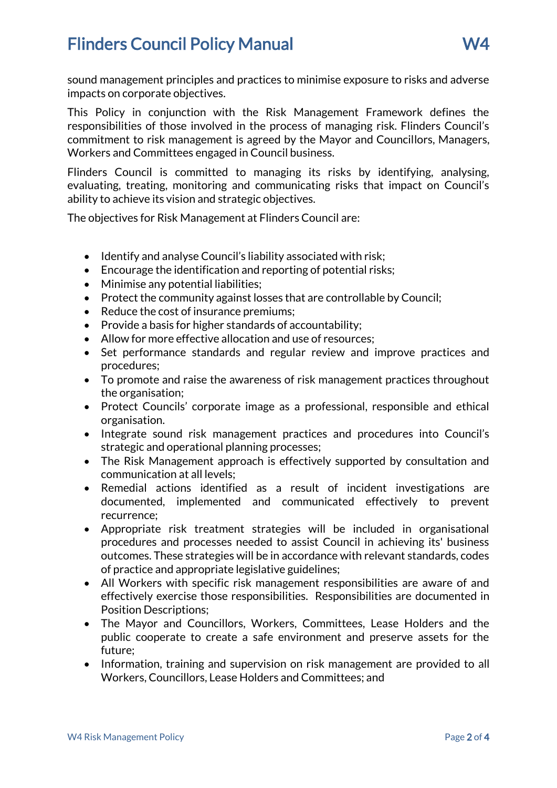sound management principles and practices to minimise exposure to risks and adverse impacts on corporate objectives.

This Policy in conjunction with the Risk Management Framework defines the responsibilities of those involved in the process of managing risk. Flinders Council's commitment to risk management is agreed by the Mayor and Councillors, Managers, Workers and Committees engaged in Council business.

Flinders Council is committed to managing its risks by identifying, analysing, evaluating, treating, monitoring and communicating risks that impact on Council's ability to achieve its vision and strategic objectives.

The objectives for Risk Management at Flinders Council are:

- Identify and analyse Council's liability associated with risk:
- Encourage the identification and reporting of potential risks;
- Minimise any potential liabilities;
- Protect the community against losses that are controllable by Council;
- Reduce the cost of insurance premiums;
- Provide a basis for higher standards of accountability;
- Allow for more effective allocation and use of resources:
- Set performance standards and regular review and improve practices and procedures;
- To promote and raise the awareness of risk management practices throughout the organisation;
- Protect Councils' corporate image as a professional, responsible and ethical organisation.
- Integrate sound risk management practices and procedures into Council's strategic and operational planning processes;
- The Risk Management approach is effectively supported by consultation and communication at all levels;
- Remedial actions identified as a result of incident investigations are documented, implemented and communicated effectively to prevent recurrence;
- Appropriate risk treatment strategies will be included in organisational procedures and processes needed to assist Council in achieving its' business outcomes. These strategies will be in accordance with relevant standards, codes of practice and appropriate legislative guidelines;
- All Workers with specific risk management responsibilities are aware of and effectively exercise those responsibilities. Responsibilities are documented in Position Descriptions;
- The Mayor and Councillors, Workers, Committees, Lease Holders and the public cooperate to create a safe environment and preserve assets for the future;
- Information, training and supervision on risk management are provided to all Workers, Councillors, Lease Holders and Committees; and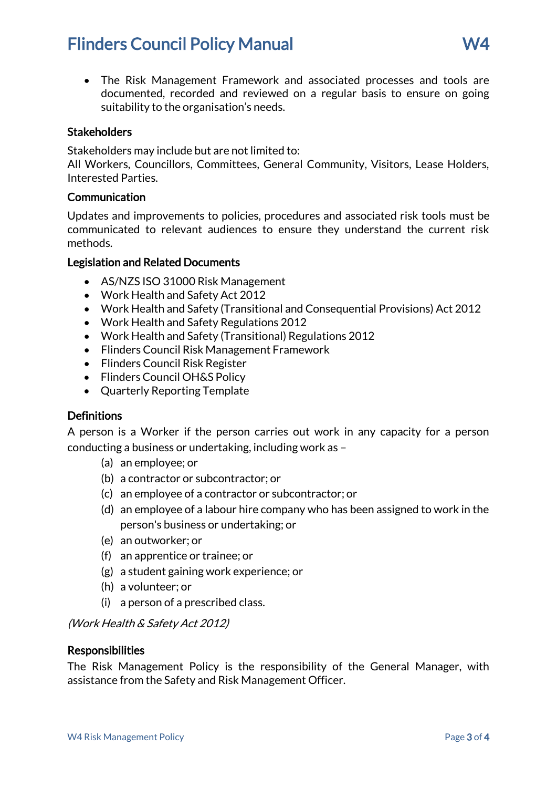# **Flinders Council Policy Manual Community Council Policy Manual Community Council Reports AV4**

 The Risk Management Framework and associated processes and tools are documented, recorded and reviewed on a regular basis to ensure on going suitability to the organisation's needs.

## **Stakeholders**

Stakeholders may include but are not limited to:

All Workers, Councillors, Committees, General Community, Visitors, Lease Holders, Interested Parties.

#### Communication

Updates and improvements to policies, procedures and associated risk tools must be communicated to relevant audiences to ensure they understand the current risk methods.

#### Legislation and Related Documents

- AS/NZS ISO 31000 Risk Management
- Work Health and Safety Act 2012
- Work Health and Safety (Transitional and Consequential Provisions) Act 2012
- Work Health and Safety Regulations 2012
- Work Health and Safety (Transitional) Regulations 2012
- Flinders Council Risk Management Framework
- Flinders Council Risk Register
- Flinders Council OH&S Policy
- Quarterly Reporting Template

#### **Definitions**

A person is a Worker if the person carries out work in any capacity for a person conducting a business or undertaking, including work as –

- (a) an employee; or
- (b) a contractor or subcontractor; or
- (c) an employee of a contractor or subcontractor; or
- (d) an employee of a labour hire company who has been assigned to work in the person's business or undertaking; or
- (e) an outworker; or
- (f) an apprentice or trainee; or
- (g) a student gaining work experience; or
- (h) a volunteer; or
- (i) a person of a prescribed class.

(Work Health & Safety Act 2012)

#### **Responsibilities**

The Risk Management Policy is the responsibility of the General Manager, with assistance from the Safety and Risk Management Officer.